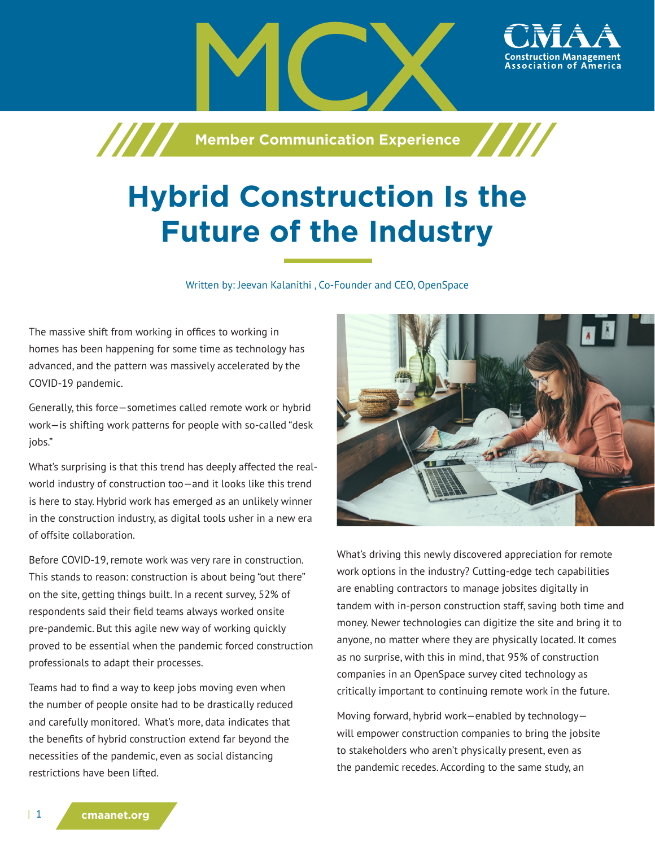**Member Communication Experience** 

# **Hybrid Construction Is the Future of the Industry**

Written by: Jeevan Kalanithi , Co-Founder and CEO, OpenSpace

The massive shift from working in offices to working in homes has been happening for some time as technology has advanced, and the pattern was massively accelerated by the COVID-19 pandemic.

/////

Generally, this force—sometimes called remote work or hybrid work—is shifting work patterns for people with so-called "desk jobs."

What's surprising is that this trend has deeply affected the realworld industry of construction too—and it looks like this trend is here to stay. Hybrid work has emerged as an unlikely winner in the construction industry, as digital tools usher in a new era of offsite collaboration.

Before COVID-19, remote work was very rare in construction. This stands to reason: construction is about being "out there" on the site, getting things built. In a recent survey, 52% of respondents said their field teams always worked onsite pre-pandemic. But this agile new way of working quickly proved to be essential when the pandemic forced construction professionals to adapt their processes.

Teams had to find a way to keep jobs moving even when the number of people onsite had to be drastically reduced and carefully monitored. What's more, data indicates that the benefits of hybrid construction extend far beyond the necessities of the pandemic, even as social distancing restrictions have been lifted.



ssociation of

What's driving this newly discovered appreciation for remote work options in the industry? Cutting-edge tech capabilities are enabling contractors to manage jobsites digitally in tandem with in-person construction staff, saving both time and money. Newer technologies can digitize the site and bring it to anyone, no matter where they are physically located. It comes as no surprise, with this in mind, that 95% of construction companies in an OpenSpace survey cited technology as critically important to continuing remote work in the future.

Moving forward, hybrid work—enabled by technology will empower construction companies to bring the jobsite to stakeholders who aren't physically present, even as the pandemic recedes. According to the same study, an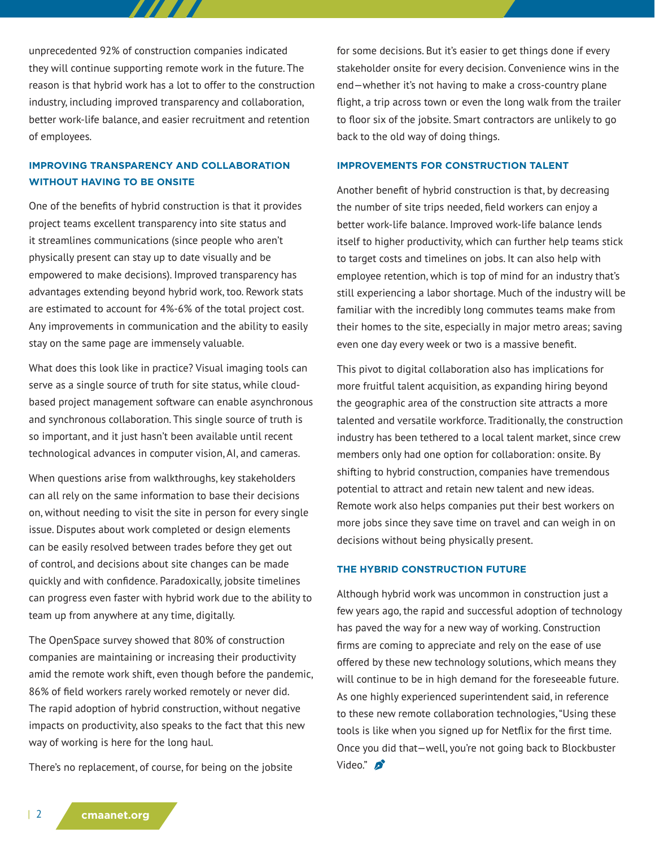unprecedented 92% of construction companies indicated they will continue supporting remote work in the future. The reason is that hybrid work has a lot to offer to the construction industry, including improved transparency and collaboration, better work-life balance, and easier recruitment and retention of employees.

777 T T

## **IMPROVING TRANSPARENCY AND COLLABORATION WITHOUT HAVING TO BE ONSITE**

One of the benefits of hybrid construction is that it provides project teams excellent transparency into site status and it streamlines communications (since people who aren't physically present can stay up to date visually and be empowered to make decisions). Improved transparency has advantages extending beyond hybrid work, too. Rework stats are estimated to account for 4%-6% of the total project cost. Any improvements in communication and the ability to easily stay on the same page are immensely valuable.

What does this look like in practice? Visual imaging tools can serve as a single source of truth for site status, while cloudbased project management software can enable asynchronous and synchronous collaboration. This single source of truth is so important, and it just hasn't been available until recent technological advances in computer vision, AI, and cameras.

When questions arise from walkthroughs, key stakeholders can all rely on the same information to base their decisions on, without needing to visit the site in person for every single issue. Disputes about work completed or design elements can be easily resolved between trades before they get out of control, and decisions about site changes can be made quickly and with confidence. Paradoxically, jobsite timelines can progress even faster with hybrid work due to the ability to team up from anywhere at any time, digitally.

The OpenSpace survey showed that 80% of construction companies are maintaining or increasing their productivity amid the remote work shift, even though before the pandemic, 86% of field workers rarely worked remotely or never did. The rapid adoption of hybrid construction, without negative impacts on productivity, also speaks to the fact that this new way of working is here for the long haul.

There's no replacement, of course, for being on the jobsite

for some decisions. But it's easier to get things done if every stakeholder onsite for every decision. Convenience wins in the end—whether it's not having to make a cross-country plane flight, a trip across town or even the long walk from the trailer to floor six of the jobsite. Smart contractors are unlikely to go back to the old way of doing things.

#### **IMPROVEMENTS FOR CONSTRUCTION TALENT**

Another benefit of hybrid construction is that, by decreasing the number of site trips needed, field workers can enjoy a better work-life balance. Improved work-life balance lends itself to higher productivity, which can further help teams stick to target costs and timelines on jobs. It can also help with employee retention, which is top of mind for an industry that's still experiencing a labor shortage. Much of the industry will be familiar with the incredibly long commutes teams make from their homes to the site, especially in major metro areas; saving even one day every week or two is a massive benefit.

This pivot to digital collaboration also has implications for more fruitful talent acquisition, as expanding hiring beyond the geographic area of the construction site attracts a more talented and versatile workforce. Traditionally, the construction industry has been tethered to a local talent market, since crew members only had one option for collaboration: onsite. By shifting to hybrid construction, companies have tremendous potential to attract and retain new talent and new ideas. Remote work also helps companies put their best workers on more jobs since they save time on travel and can weigh in on decisions without being physically present.

#### **THE HYBRID CONSTRUCTION FUTURE**

Although hybrid work was uncommon in construction just a few years ago, the rapid and successful adoption of technology has paved the way for a new way of working. Construction firms are coming to appreciate and rely on the ease of use offered by these new technology solutions, which means they will continue to be in high demand for the foreseeable future. As one highly experienced superintendent said, in reference to these new remote collaboration technologies, "Using these tools is like when you signed up for Netflix for the first time. Once you did that—well, you're not going back to Blockbuster Video." $\mathcal{D}$